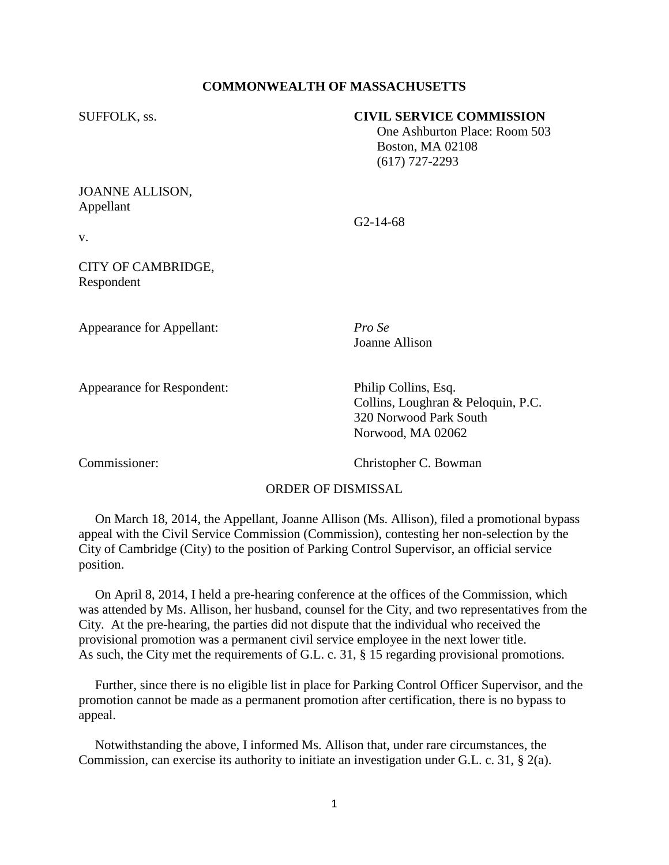#### **COMMONWEALTH OF MASSACHUSETTS**

#### SUFFOLK, ss. **CIVIL SERVICE COMMISSION**

 One Ashburton Place: Room 503 Boston, MA 02108 (617) 727-2293

## JOANNE ALLISON, Appellant

G2-14-68

v.

# CITY OF CAMBRIDGE, Respondent

Appearance for Appellant: *Pro Se*

Appearance for Respondent: Philip Collins, Esq.

Joanne Allison

Collins, Loughran & Peloquin, P.C. 320 Norwood Park South Norwood, MA 02062

Commissioner: Christopher C. Bowman

## ORDER OF DISMISSAL

 On March 18, 2014, the Appellant, Joanne Allison (Ms. Allison), filed a promotional bypass appeal with the Civil Service Commission (Commission), contesting her non-selection by the City of Cambridge (City) to the position of Parking Control Supervisor, an official service position.

 On April 8, 2014, I held a pre-hearing conference at the offices of the Commission, which was attended by Ms. Allison, her husband, counsel for the City, and two representatives from the City. At the pre-hearing, the parties did not dispute that the individual who received the provisional promotion was a permanent civil service employee in the next lower title. As such, the City met the requirements of G.L. c. 31, § 15 regarding provisional promotions.

 Further, since there is no eligible list in place for Parking Control Officer Supervisor, and the promotion cannot be made as a permanent promotion after certification, there is no bypass to appeal.

 Notwithstanding the above, I informed Ms. Allison that, under rare circumstances, the Commission, can exercise its authority to initiate an investigation under G.L. c. 31,  $\S$  2(a).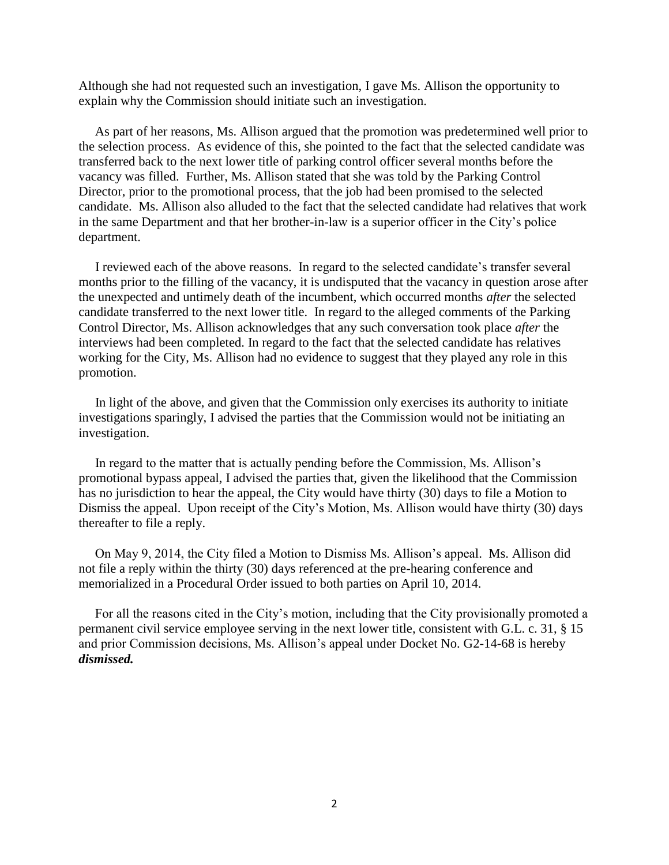Although she had not requested such an investigation, I gave Ms. Allison the opportunity to explain why the Commission should initiate such an investigation.

 As part of her reasons, Ms. Allison argued that the promotion was predetermined well prior to the selection process. As evidence of this, she pointed to the fact that the selected candidate was transferred back to the next lower title of parking control officer several months before the vacancy was filled. Further, Ms. Allison stated that she was told by the Parking Control Director, prior to the promotional process, that the job had been promised to the selected candidate. Ms. Allison also alluded to the fact that the selected candidate had relatives that work in the same Department and that her brother-in-law is a superior officer in the City's police department.

 I reviewed each of the above reasons. In regard to the selected candidate's transfer several months prior to the filling of the vacancy, it is undisputed that the vacancy in question arose after the unexpected and untimely death of the incumbent, which occurred months *after* the selected candidate transferred to the next lower title. In regard to the alleged comments of the Parking Control Director, Ms. Allison acknowledges that any such conversation took place *after* the interviews had been completed. In regard to the fact that the selected candidate has relatives working for the City, Ms. Allison had no evidence to suggest that they played any role in this promotion.

 In light of the above, and given that the Commission only exercises its authority to initiate investigations sparingly, I advised the parties that the Commission would not be initiating an investigation.

 In regard to the matter that is actually pending before the Commission, Ms. Allison's promotional bypass appeal, I advised the parties that, given the likelihood that the Commission has no jurisdiction to hear the appeal, the City would have thirty (30) days to file a Motion to Dismiss the appeal. Upon receipt of the City's Motion, Ms. Allison would have thirty (30) days thereafter to file a reply.

 On May 9, 2014, the City filed a Motion to Dismiss Ms. Allison's appeal. Ms. Allison did not file a reply within the thirty (30) days referenced at the pre-hearing conference and memorialized in a Procedural Order issued to both parties on April 10, 2014.

 For all the reasons cited in the City's motion, including that the City provisionally promoted a permanent civil service employee serving in the next lower title, consistent with G.L. c. 31, § 15 and prior Commission decisions, Ms. Allison's appeal under Docket No. G2-14-68 is hereby *dismissed.*